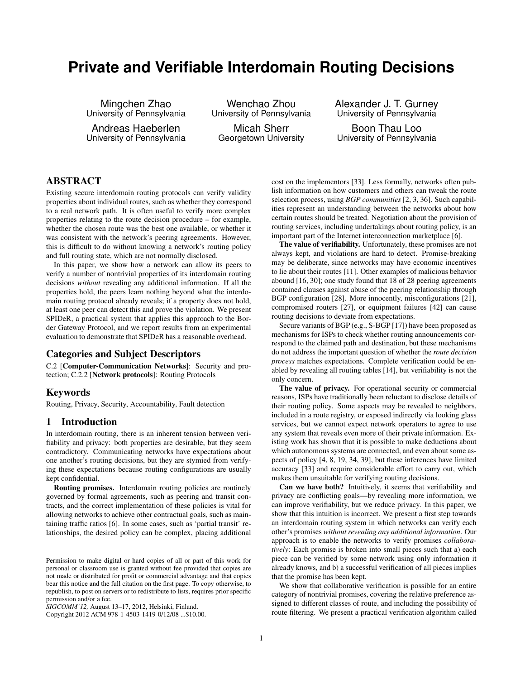# **Private and Verifiable Interdomain Routing Decisions**

Mingchen Zhao University of Pennsylvania

Andreas Haeberlen University of Pennsylvania

Wenchao Zhou University of Pennsylvania

Micah Sherr Georgetown University Alexander J. T. Gurney University of Pennsylvania

Boon Thau Loo University of Pennsylvania

# ABSTRACT

Existing secure interdomain routing protocols can verify validity properties about individual routes, such as whether they correspond to a real network path. It is often useful to verify more complex properties relating to the route decision procedure – for example, whether the chosen route was the best one available, or whether it was consistent with the network's peering agreements. However, this is difficult to do without knowing a network's routing policy and full routing state, which are not normally disclosed.

In this paper, we show how a network can allow its peers to verify a number of nontrivial properties of its interdomain routing decisions *without* revealing any additional information. If all the properties hold, the peers learn nothing beyond what the interdomain routing protocol already reveals; if a property does not hold, at least one peer can detect this and prove the violation. We present SPIDeR, a practical system that applies this approach to the Border Gateway Protocol, and we report results from an experimental evaluation to demonstrate that SPIDeR has a reasonable overhead.

# Categories and Subject Descriptors

C.2 [Computer-Communication Networks]: Security and protection; C.2.2 [Network protocols]: Routing Protocols

#### Keywords

Routing, Privacy, Security, Accountability, Fault detection

# 1 Introduction

In interdomain routing, there is an inherent tension between verifiability and privacy: both properties are desirable, but they seem contradictory. Communicating networks have expectations about one another's routing decisions, but they are stymied from verifying these expectations because routing configurations are usually kept confidential.

Routing promises. Interdomain routing policies are routinely governed by formal agreements, such as peering and transit contracts, and the correct implementation of these policies is vital for allowing networks to achieve other contractual goals, such as maintaining traffic ratios [\[6\]](#page-11-0). In some cases, such as 'partial transit' relationships, the desired policy can be complex, placing additional

Copyright 2012 ACM 978-1-4503-1419-0/12/08 ...\$10.00.

cost on the implementors [\[33\]](#page-11-1). Less formally, networks often publish information on how customers and others can tweak the route selection process, using *BGP communities* [\[2,](#page-11-2) [3,](#page-11-3) [36\]](#page-11-4). Such capabilities represent an understanding between the networks about how certain routes should be treated. Negotiation about the provision of routing services, including undertakings about routing policy, is an important part of the Internet interconnection marketplace [\[6\]](#page-11-0).

The value of verifiability. Unfortunately, these promises are not always kept, and violations are hard to detect. Promise-breaking may be deliberate, since networks may have economic incentives to lie about their routes [\[11\]](#page-11-5). Other examples of malicious behavior abound [\[16,](#page-11-6) [30\]](#page-11-7); one study found that 18 of 28 peering agreements contained clauses against abuse of the peering relationship through BGP configuration [\[28\]](#page-11-8). More innocently, misconfigurations [\[21\]](#page-11-9), compromised routers [\[27\]](#page-11-10), or equipment failures [\[42\]](#page-11-11) can cause routing decisions to deviate from expectations.

Secure variants of BGP (e.g., S-BGP [\[17\]](#page-11-12)) have been proposed as mechanisms for ISPs to check whether routing announcements correspond to the claimed path and destination, but these mechanisms do not address the important question of whether the *route decision process* matches expectations. Complete verification could be enabled by revealing all routing tables [\[14\]](#page-11-13), but verifiability is not the only concern.

The value of privacy. For operational security or commercial reasons, ISPs have traditionally been reluctant to disclose details of their routing policy. Some aspects may be revealed to neighbors, included in a route registry, or exposed indirectly via looking glass services, but we cannot expect network operators to agree to use any system that reveals even more of their private information. Existing work has shown that it is possible to make deductions about which autonomous systems are connected, and even about some aspects of policy [\[4,](#page-11-14) [8,](#page-11-15) [19,](#page-11-16) [34,](#page-11-17) [39\]](#page-11-18), but these inferences have limited accuracy [\[33\]](#page-11-1) and require considerable effort to carry out, which makes them unsuitable for verifying routing decisions.

Can we have both? Intuitively, it seems that verifiability and privacy are conflicting goals—by revealing more information, we can improve verifiability, but we reduce privacy. In this paper, we show that this intuition is incorrect. We present a first step towards an interdomain routing system in which networks can verify each other's promises *without revealing any additional information*. Our approach is to enable the networks to verify promises *collaboratively*: Each promise is broken into small pieces such that a) each piece can be verified by some network using only information it already knows, and b) a successful verification of all pieces implies that the promise has been kept.

We show that collaborative verification is possible for an entire category of nontrivial promises, covering the relative preference assigned to different classes of route, and including the possibility of route filtering. We present a practical verification algorithm called

Permission to make digital or hard copies of all or part of this work for personal or classroom use is granted without fee provided that copies are not made or distributed for profit or commercial advantage and that copies bear this notice and the full citation on the first page. To copy otherwise, to republish, to post on servers or to redistribute to lists, requires prior specific permission and/or a fee.

*SIGCOMM'12,* August 13–17, 2012, Helsinki, Finland.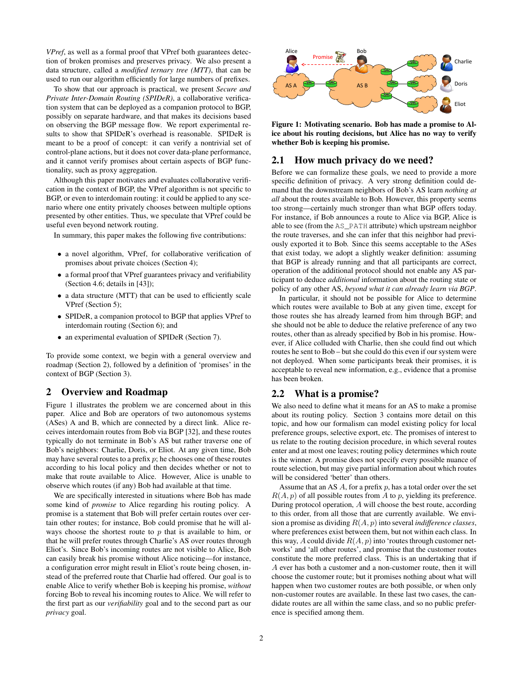*VPref*, as well as a formal proof that VPref both guarantees detection of broken promises and preserves privacy. We also present a data structure, called a *modified ternary tree (MTT)*, that can be used to run our algorithm efficiently for large numbers of prefixes.

To show that our approach is practical, we present *Secure and Private Inter-Domain Routing (SPIDeR)*, a collaborative verification system that can be deployed as a companion protocol to BGP, possibly on separate hardware, and that makes its decisions based on observing the BGP message flow. We report experimental results to show that SPIDeR's overhead is reasonable. SPIDeR is meant to be a proof of concept: it can verify a nontrivial set of control-plane actions, but it does not cover data-plane performance, and it cannot verify promises about certain aspects of BGP functionality, such as proxy aggregation.

Although this paper motivates and evaluates collaborative verification in the context of BGP, the VPref algorithm is not specific to BGP, or even to interdomain routing: it could be applied to any scenario where one entity privately chooses between multiple options presented by other entities. Thus, we speculate that VPref could be useful even beyond network routing.

In summary, this paper makes the following five contributions:

- a novel algorithm, VPref, for collaborative verification of promises about private choices (Section [4\)](#page-3-0);
- a formal proof that VPref guarantees privacy and verifiability (Section [4.6;](#page-4-0) details in [\[43\]](#page-11-19));
- a data structure (MTT) that can be used to efficiently scale VPref (Section [5\)](#page-5-0);
- SPIDeR, a companion protocol to BGP that applies VPref to interdomain routing (Section [6\)](#page-6-0); and
- an experimental evaluation of SPIDeR (Section [7\)](#page-8-0).

To provide some context, we begin with a general overview and roadmap (Section [2\)](#page-1-0), followed by a definition of 'promises' in the context of BGP (Section [3\)](#page-2-0).

# <span id="page-1-0"></span>2 Overview and Roadmap

Figure [1](#page-1-1) illustrates the problem we are concerned about in this paper. Alice and Bob are operators of two autonomous systems (ASes) A and B, which are connected by a direct link. Alice receives interdomain routes from Bob via BGP [\[32\]](#page-11-20), and these routes typically do not terminate in Bob's AS but rather traverse one of Bob's neighbors: Charlie, Doris, or Eliot. At any given time, Bob may have several routes to a prefix  $p$ ; he chooses one of these routes according to his local policy and then decides whether or not to make that route available to Alice. However, Alice is unable to observe which routes (if any) Bob had available at that time.

We are specifically interested in situations where Bob has made some kind of *promise* to Alice regarding his routing policy. A promise is a statement that Bob will prefer certain routes over certain other routes; for instance, Bob could promise that he will always choose the shortest route to  $p$  that is available to him, or that he will prefer routes through Charlie's AS over routes through Eliot's. Since Bob's incoming routes are not visible to Alice, Bob can easily break his promise without Alice noticing—for instance, a configuration error might result in Eliot's route being chosen, instead of the preferred route that Charlie had offered. Our goal is to enable Alice to verify whether Bob is keeping his promise, *without* forcing Bob to reveal his incoming routes to Alice. We will refer to the first part as our *verifiability* goal and to the second part as our *privacy* goal.



<span id="page-1-1"></span>Figure 1: Motivating scenario. Bob has made a promise to Alice about his routing decisions, but Alice has no way to verify whether Bob is keeping his promise.

# 2.1 How much privacy do we need?

Before we can formalize these goals, we need to provide a more specific definition of privacy. A very strong definition could demand that the downstream neighbors of Bob's AS learn *nothing at all* about the routes available to Bob. However, this property seems too strong—certainly much stronger than what BGP offers today. For instance, if Bob announces a route to Alice via BGP, Alice is able to see (from the AS\_PATH attribute) which upstream neighbor the route traverses, and she can infer that this neighbor had previously exported it to Bob. Since this seems acceptable to the ASes that exist today, we adopt a slightly weaker definition: assuming that BGP is already running and that all participants are correct, operation of the additional protocol should not enable any AS participant to deduce *additional* information about the routing state or policy of any other AS, *beyond what it can already learn via BGP*.

In particular, it should not be possible for Alice to determine which routes were available to Bob at any given time, except for those routes she has already learned from him through BGP; and she should not be able to deduce the relative preference of any two routes, other than as already specified by Bob in his promise. However, if Alice colluded with Charlie, then she could find out which routes he sent to Bob – but she could do this even if our system were not deployed. When some participants break their promises, it is acceptable to reveal new information, e.g., evidence that a promise has been broken.

#### 2.2 What is a promise?

We also need to define what it means for an AS to make a promise about its routing policy. Section [3](#page-2-0) contains more detail on this topic, and how our formalism can model existing policy for local preference groups, selective export, etc. The promises of interest to us relate to the routing decision procedure, in which several routes enter and at most one leaves; routing policy determines which route is the winner. A promise does not specify every possible nuance of route selection, but may give partial information about which routes will be considered 'better' than others.

Assume that an AS  $\ddot{A}$ , for a prefix  $p$ , has a total order over the set  $R(A, p)$  of all possible routes from A to p, yielding its preference. During protocol operation, A will choose the best route, according to this order, from all those that are currently available. We envision a promise as dividing  $R(A, p)$  into several *indifference classes*, where preferences exist between them, but not within each class. In this way, A could divide  $R(A, p)$  into 'routes through customer networks' and 'all other routes', and promise that the customer routes constitute the more preferred class. This is an undertaking that if A ever has both a customer and a non-customer route, then it will choose the customer route; but it promises nothing about what will happen when two customer routes are both possible, or when only non-customer routes are available. In these last two cases, the candidate routes are all within the same class, and so no public preference is specified among them.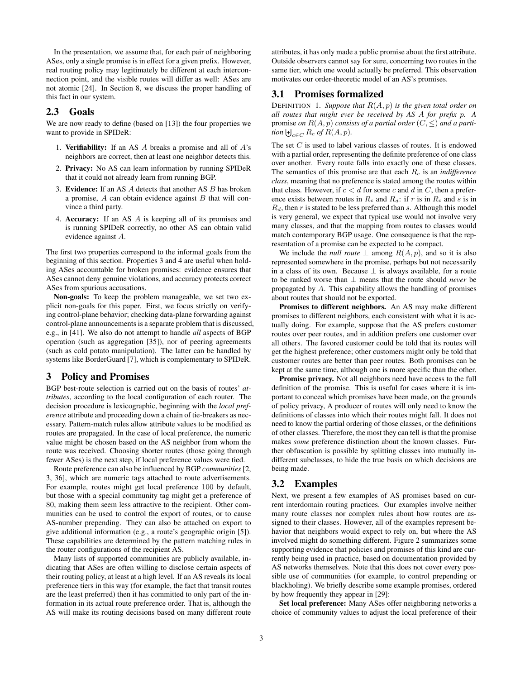In the presentation, we assume that, for each pair of neighboring ASes, only a single promise is in effect for a given prefix. However, real routing policy may legitimately be different at each interconnection point, and the visible routes will differ as well: ASes are not atomic [\[24\]](#page-11-21). In Section [8,](#page-10-0) we discuss the proper handling of this fact in our system.

# <span id="page-2-2"></span>2.3 Goals

We are now ready to define (based on [\[13\]](#page-11-22)) the four properties we want to provide in SPIDeR:

- 1. Verifiability: If an AS  $\overline{A}$  breaks a promise and all of  $\overline{A}$ 's neighbors are correct, then at least one neighbor detects this.
- 2. Privacy: No AS can learn information by running SPIDeR that it could not already learn from running BGP.
- 3. Evidence: If an AS  $A$  detects that another AS  $B$  has broken a promise,  $A$  can obtain evidence against  $B$  that will convince a third party.
- 4. Accuracy: If an AS A is keeping all of its promises and is running SPIDeR correctly, no other AS can obtain valid evidence against A.

The first two properties correspond to the informal goals from the beginning of this section. Properties 3 and 4 are useful when holding ASes accountable for broken promises: evidence ensures that ASes cannot deny genuine violations, and accuracy protects correct ASes from spurious accusations.

Non-goals: To keep the problem manageable, we set two explicit non-goals for this paper. First, we focus strictly on verifying control-plane behavior; checking data-plane forwarding against control-plane announcements is a separate problem that is discussed, e.g., in [\[41\]](#page-11-23). We also do not attempt to handle *all* aspects of BGP operation (such as aggregation [\[35\]](#page-11-24)), nor of peering agreements (such as cold potato manipulation). The latter can be handled by systems like BorderGuard [\[7\]](#page-11-25), which is complementary to SPIDeR.

## <span id="page-2-0"></span>3 Policy and Promises

BGP best-route selection is carried out on the basis of routes' *attributes*, according to the local configuration of each router. The decision procedure is lexicographic, beginning with the *local preference* attribute and proceeding down a chain of tie-breakers as necessary. Pattern-match rules allow attribute values to be modified as routes are propagated. In the case of local preference, the numeric value might be chosen based on the AS neighbor from whom the route was received. Choosing shorter routes (those going through fewer ASes) is the next step, if local preference values were tied.

Route preference can also be influenced by BGP *communities* [\[2,](#page-11-2) [3,](#page-11-3) [36\]](#page-11-4), which are numeric tags attached to route advertisements. For example, routes might get local preference 100 by default, but those with a special community tag might get a preference of 80, making them seem less attractive to the recipient. Other communities can be used to control the export of routes, or to cause AS-number prepending. They can also be attached on export to give additional information (e.g., a route's geographic origin [\[5\]](#page-11-26)). These capabilities are determined by the pattern matching rules in the router configurations of the recipient AS.

Many lists of supported communities are publicly available, indicating that ASes are often willing to disclose certain aspects of their routing policy, at least at a high level. If an AS reveals its local preference tiers in this way (for example, the fact that transit routes are the least preferred) then it has committed to only part of the information in its actual route preference order. That is, although the AS will make its routing decisions based on many different route attributes, it has only made a public promise about the first attribute. Outside observers cannot say for sure, concerning two routes in the same tier, which one would actually be preferred. This observation motivates our order-theoretic model of an AS's promises.

## <span id="page-2-1"></span>3.1 Promises formalized

DEFINITION 1. *Suppose that* R(A, p) *is the given total order on all routes that might ever be received by AS* A *for prefix* p*. A* promise *on*  $R(A, p)$  *consists of a partial order*  $(C, \leq)$  *and a parti-* $\bigcup_{c \in C} R_c$  of  $R(A, p)$ .

The set  $C$  is used to label various classes of routes. It is endowed with a partial order, representing the definite preference of one class over another. Every route falls into exactly one of these classes. The semantics of this promise are that each  $R_c$  is an *indifference class*, meaning that no preference is stated among the routes within that class. However, if  $c < d$  for some c and d in C, then a preference exists between routes in  $R_c$  and  $R_d$ : if r is in  $R_c$  and s is in  $R_d$ , then r is stated to be less preferred than s. Although this model is very general, we expect that typical use would not involve very many classes, and that the mapping from routes to classes would match contemporary BGP usage. One consequence is that the representation of a promise can be expected to be compact.

We include the *null route*  $\perp$  among  $R(A, p)$ , and so it is also represented somewhere in the promise, perhaps but not necessarily in a class of its own. Because  $\perp$  is always available, for a route to be ranked worse than ⊥ means that the route should *never* be propagated by A. This capability allows the handling of promises about routes that should not be exported.

Promises to different neighbors. An AS may make different promises to different neighbors, each consistent with what it is actually doing. For example, suppose that the AS prefers customer routes over peer routes, and in addition prefers one customer over all others. The favored customer could be told that its routes will get the highest preference; other customers might only be told that customer routes are better than peer routes. Both promises can be kept at the same time, although one is more specific than the other.

Promise privacy. Not all neighbors need have access to the full definition of the promise. This is useful for cases where it is important to conceal which promises have been made, on the grounds of policy privacy, A producer of routes will only need to know the definitions of classes into which their routes might fall. It does not need to know the partial ordering of those classes, or the definitions of other classes. Therefore, the most they can tell is that the promise makes *some* preference distinction about the known classes. Further obfuscation is possible by splitting classes into mutually indifferent subclasses, to hide the true basis on which decisions are being made.

## <span id="page-2-3"></span>3.2 Examples

Next, we present a few examples of AS promises based on current interdomain routing practices. Our examples involve neither many route classes nor complex rules about how routes are assigned to their classes. However, all of the examples represent behavior that neighbors would expect to rely on, but where the AS involved might do something different. Figure [2](#page-3-1) summarizes some supporting evidence that policies and promises of this kind are currently being used in practice, based on documentation provided by AS networks themselves. Note that this does not cover every possible use of communities (for example, to control prepending or blackholing). We briefly describe some example promises, ordered by how frequently they appear in [\[29\]](#page-11-27):

Set local preference: Many ASes offer neighboring networks a choice of community values to adjust the local preference of their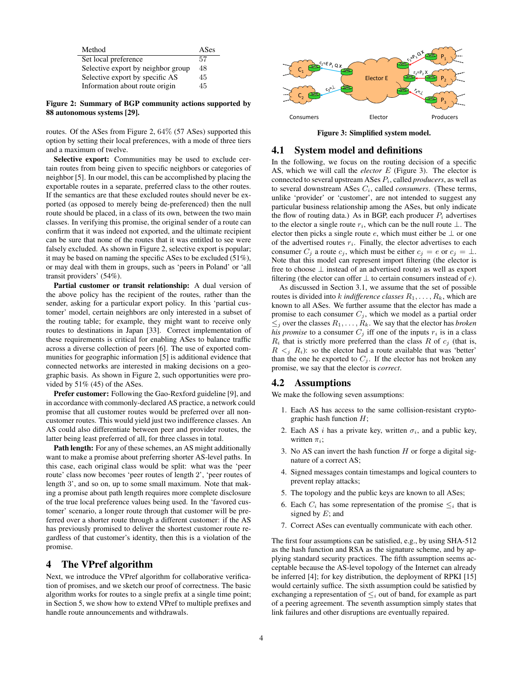| Method                             | ASes |
|------------------------------------|------|
| Set local preference               | 57   |
| Selective export by neighbor group | 48   |
| Selective export by specific AS    | 45   |
| Information about route origin     | 45   |

<span id="page-3-1"></span>Figure 2: Summary of BGP community actions supported by 88 autonomous systems [\[29\]](#page-11-27).

routes. Of the ASes from Figure [2,](#page-3-1) 64% (57 ASes) supported this option by setting their local preferences, with a mode of three tiers and a maximum of twelve.

Selective export: Communities may be used to exclude certain routes from being given to specific neighbors or categories of neighbor [\[5\]](#page-11-26). In our model, this can be accomplished by placing the exportable routes in a separate, preferred class to the other routes. If the semantics are that these excluded routes should never be exported (as opposed to merely being de-preferenced) then the null route should be placed, in a class of its own, between the two main classes. In verifying this promise, the original sender of a route can confirm that it was indeed not exported, and the ultimate recipient can be sure that none of the routes that it was entitled to see were falsely excluded. As shown in Figure [2,](#page-3-1) selective export is popular; it may be based on naming the specific ASes to be excluded (51%), or may deal with them in groups, such as 'peers in Poland' or 'all transit providers' (54%).

Partial customer or transit relationship: A dual version of the above policy has the recipient of the routes, rather than the sender, asking for a particular export policy. In this 'partial customer' model, certain neighbors are only interested in a subset of the routing table; for example, they might want to receive only routes to destinations in Japan [\[33\]](#page-11-1). Correct implementation of these requirements is critical for enabling ASes to balance traffic across a diverse collection of peers [\[6\]](#page-11-0). The use of exported communities for geographic information [\[5\]](#page-11-26) is additional evidence that connected networks are interested in making decisions on a geographic basis. As shown in Figure [2,](#page-3-1) such opportunities were provided by  $51\%$  (45) of the ASes.

Prefer customer: Following the Gao-Rexford guideline [\[9\]](#page-11-28), and in accordance with commonly-declared AS practice, a network could promise that all customer routes would be preferred over all noncustomer routes. This would yield just two indifference classes. An AS could also differentiate between peer and provider routes, the latter being least preferred of all, for three classes in total.

Path length: For any of these schemes, an AS might additionally want to make a promise about preferring shorter AS-level paths. In this case, each original class would be split: what was the 'peer route' class now becomes 'peer routes of length 2', 'peer routes of length 3', and so on, up to some small maximum. Note that making a promise about path length requires more complete disclosure of the true local preference values being used. In the 'favored customer' scenario, a longer route through that customer will be preferred over a shorter route through a different customer: if the AS has previously promised to deliver the shortest customer route regardless of that customer's identity, then this is a violation of the promise.

## <span id="page-3-0"></span>4 The VPref algorithm

Next, we introduce the VPref algorithm for collaborative verification of promises, and we sketch our proof of correctness. The basic algorithm works for routes to a single prefix at a single time point; in Section [5,](#page-5-0) we show how to extend VPref to multiple prefixes and handle route announcements and withdrawals.



<span id="page-3-2"></span>Figure 3: Simplified system model.

# 4.1 System model and definitions

In the following, we focus on the routing decision of a specific AS, which we will call the *elector* E (Figure [3\)](#page-3-2). The elector is connected to several upstream ASes  $P_i$ , called *producers*, as well as to several downstream ASes  $C_i$ , called *consumers*. (These terms, unlike 'provider' or 'customer', are not intended to suggest any particular business relationship among the ASes, but only indicate the flow of routing data.) As in BGP, each producer  $P_i$  advertises to the elector a single route  $r_i$ , which can be the null route ⊥. The elector then picks a single route e, which must either be  $\perp$  or one of the advertised routes  $r_i$ . Finally, the elector advertises to each consumer  $C_i$  a route  $c_j$ , which must be either  $c_j = e$  or  $c_j = \perp$ . Note that this model can represent import filtering (the elector is free to choose ⊥ instead of an advertised route) as well as export filtering (the elector can offer  $\perp$  to certain consumers instead of e).

As discussed in Section [3.1,](#page-2-1) we assume that the set of possible routes is divided into k *indifference classes*  $R_1, \ldots, R_k$ , which are known to all ASes. We further assume that the elector has made a promise to each consumer  $C_j$ , which we model as a partial order  $\leq_j$  over the classes  $R_1, \ldots, R_k$ . We say that the elector has *broken his promise* to a consumer  $C_j$  iff one of the inputs  $r_i$  is in a class  $R_i$  that is strictly more preferred than the class R of  $c_i$  (that is,  $R \lt_i R_i$ ): so the elector had a route available that was 'better' than the one he exported to  $C_i$ . If the elector has not broken any promise, we say that the elector is *correct*.

## 4.2 Assumptions

We make the following seven assumptions:

- 1. Each AS has access to the same collision-resistant cryptographic hash function  $H$ ;
- 2. Each AS i has a private key, written  $\sigma_i$ , and a public key, written  $\pi_i$ ;
- 3. No AS can invert the hash function  $H$  or forge a digital signature of a correct AS;
- 4. Signed messages contain timestamps and logical counters to prevent replay attacks;
- 5. The topology and the public keys are known to all ASes;
- <span id="page-3-3"></span>6. Each  $C_i$  has some representation of the promise  $\leq_i$  that is signed by  $E$ ; and
- 7. Correct ASes can eventually communicate with each other.

The first four assumptions can be satisfied, e.g., by using SHA-512 as the hash function and RSA as the signature scheme, and by applying standard security practices. The fifth assumption seems acceptable because the AS-level topology of the Internet can already be inferred [\[4\]](#page-11-14); for key distribution, the deployment of RPKI [\[15\]](#page-11-29) would certainly suffice. The sixth assumption could be satisfied by exchanging a representation of  $\leq_i$  out of band, for example as part of a peering agreement. The seventh assumption simply states that link failures and other disruptions are eventually repaired.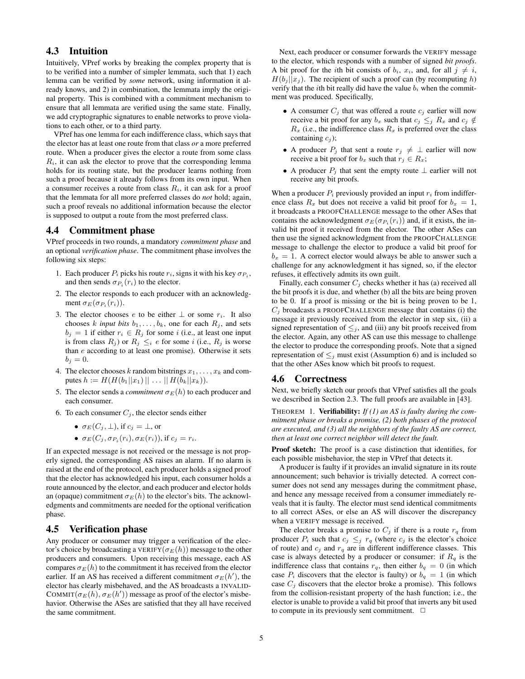# 4.3 Intuition

Intuitively, VPref works by breaking the complex property that is to be verified into a number of simpler lemmata, such that 1) each lemma can be verified by *some* network, using information it already knows, and 2) in combination, the lemmata imply the original property. This is combined with a commitment mechanism to ensure that all lemmata are verified using the same state. Finally, we add cryptographic signatures to enable networks to prove violations to each other, or to a third party.

VPref has one lemma for each indifference class, which says that the elector has at least one route from that class *or* a more preferred route. When a producer gives the elector a route from some class  $R_i$ , it can ask the elector to prove that the corresponding lemma holds for its routing state, but the producer learns nothing from such a proof because it already follows from its own input. When a consumer receives a route from class  $R_i$ , it can ask for a proof that the lemmata for all more preferred classes do *not* hold; again, such a proof reveals no additional information because the elector is supposed to output a route from the most preferred class.

#### 4.4 Commitment phase

VPref proceeds in two rounds, a mandatory *commitment phase* and an optional *verification phase*. The commitment phase involves the following six steps:

- 1. Each producer  $P_i$  picks his route  $r_i$ , signs it with his key  $\sigma_{P_i}$ , and then sends  $\sigma_{P_i}(r_i)$  to the elector.
- 2. The elector responds to each producer with an acknowledgment  $\sigma_E(\sigma_{P_i}(r_i))$ .
- 3. The elector chooses e to be either  $\perp$  or some  $r_i$ . It also chooses k *input bits*  $b_1, \ldots, b_k$ , one for each  $R_j$ , and sets  $b_j = 1$  if either  $r_i \in R_j$  for some i (i.e., at least one input is from class  $R_j$ ) or  $R_j \leq_i e$  for some i (i.e.,  $R_j$  is worse than e according to at least one promise). Otherwise it sets  $b_i = 0.$
- 4. The elector chooses k random bitstrings  $x_1, \ldots, x_k$  and computes  $h := H(H(b_1||x_1)|| \dots || H(b_k||x_k)).$
- 5. The elector sends a *commitment*  $\sigma_E(h)$  to each producer and each consumer.
- 6. To each consumer  $C_i$ , the elector sends either
	- $\sigma_E(C_j, \perp)$ , if  $c_j = \perp$ , or
	- $\bullet \ \sigma_E(C_j, \sigma_{P_i}(r_i), \sigma_E(r_i))$ , if  $c_j = r_i$ .

If an expected message is not received or the message is not properly signed, the corresponding AS raises an alarm. If no alarm is raised at the end of the protocol, each producer holds a signed proof that the elector has acknowledged his input, each consumer holds a route announced by the elector, and each producer and elector holds an (opaque) commitment  $\sigma_E(h)$  to the elector's bits. The acknowledgments and commitments are needed for the optional verification phase.

# <span id="page-4-1"></span>4.5 Verification phase

Any producer or consumer may trigger a verification of the elector's choice by broadcasting a VERIFY( $\sigma_E(h)$ ) message to the other producers and consumers. Upon receiving this message, each AS compares  $\sigma_E(h)$  to the commitment it has received from the elector earlier. If an AS has received a different commitment  $\sigma_E(h')$ , the elector has clearly misbehaved, and the AS broadcasts a INVALID-COMMIT $(\sigma_E(h), \sigma_E(h'))$  message as proof of the elector's misbehavior. Otherwise the ASes are satisfied that they all have received the same commitment.

Next, each producer or consumer forwards the VERIFY message to the elector, which responds with a number of signed *bit proofs*. A bit proof for the *i*th bit consists of  $b_i$ ,  $x_i$ , and, for all  $j \neq i$ ,  $H(b_i || x_i)$ . The recipient of such a proof can (by recomputing h) verify that the *i*th bit really did have the value  $b_i$  when the commitment was produced. Specifically,

- A consumer  $C_j$  that was offered a route  $c_j$  earlier will now receive a bit proof for any  $b_x$  such that  $c_j \leq j$   $R_x$  and  $c_j \notin$  $R_x$  (i.e., the indifference class  $R_x$  is preferred over the class containing  $c_i$ );
- A producer  $P_j$  that sent a route  $r_j \neq \perp$  earlier will now receive a bit proof for  $b_x$  such that  $r_j \in R_x$ ;
- A producer  $P_i$  that sent the empty route  $\perp$  earlier will not receive any bit proofs.

When a producer  $P_i$  previously provided an input  $r_i$  from indifference class  $R_x$  but does not receive a valid bit proof for  $b_x = 1$ , it broadcasts a PROOFCHALLENGE message to the other ASes that contains the acknowledgment  $\sigma_E(\sigma_{P_i}(r_i))$  and, if it exists, the invalid bit proof it received from the elector. The other ASes can then use the signed acknowledgment from the PROOFCHALLENGE message to challenge the elector to produce a valid bit proof for  $b_x = 1$ . A correct elector would always be able to answer such a challenge for any acknowledgment it has signed, so, if the elector refuses, it effectively admits its own guilt.

Finally, each consumer  $C_i$  checks whether it has (a) received all the bit proofs it is due, and whether (b) all the bits are being proven to be 0. If a proof is missing or the bit is being proven to be 1,  $C_i$  broadcasts a PROOFCHALLENGE message that contains (i) the message it previously received from the elector in step six, (ii) a signed representation of  $\leq_j$ , and (iii) any bit proofs received from the elector. Again, any other AS can use this message to challenge the elector to produce the corresponding proofs. Note that a signed representation of  $\leq_i$  must exist (Assumption [6\)](#page-3-3) and is included so that the other ASes know which bit proofs to request.

# <span id="page-4-0"></span>4.6 Correctness

Next, we briefly sketch our proofs that VPref satisfies all the goals we described in Section [2.3.](#page-2-2) The full proofs are available in [\[43\]](#page-11-19).

THEOREM 1. Verifiability: *If (1) an AS is faulty during the commitment phase or breaks a promise, (2) both phases of the protocol are executed, and (3) all the neighbors of the faulty AS are correct, then at least one correct neighbor will detect the fault.*

Proof sketch: The proof is a case distinction that identifies, for each possible misbehavior, the step in VPref that detects it.

A producer is faulty if it provides an invalid signature in its route announcement; such behavior is trivially detected. A correct consumer does not send any messages during the commitment phase, and hence any message received from a consumer immediately reveals that it is faulty. The elector must send identical commitments to all correct ASes, or else an AS will discover the discrepancy when a VERIFY message is received.

The elector breaks a promise to  $C_j$  if there is a route  $r_q$  from producer  $P_i$  such that  $c_j \leq_j r_q$  (where  $c_j$  is the elector's choice of route) and  $c_j$  and  $r_q$  are in different indifference classes. This case is always detected by a producer or consumer: if  $R_q$  is the indifference class that contains  $r_q$ , then either  $b_q = 0$  (in which case  $P_i$  discovers that the elector is faulty) or  $b_q = 1$  (in which case  $C_i$  discovers that the elector broke a promise). This follows from the collision-resistant property of the hash function; i.e., the elector is unable to provide a valid bit proof that inverts any bit used to compute in its previously sent commitment.  $\Box$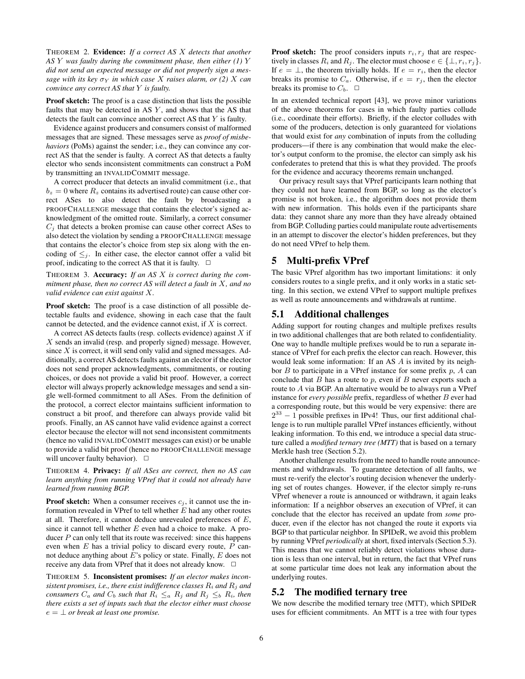THEOREM 2. Evidence: *If a correct AS* X *detects that another AS* Y *was faulty during the commitment phase, then either (1)* Y *did not send an expected message or did not properly sign a message with its key*  $\sigma_Y$  *in which case* X *raises alarm, or (2)* X *can convince any correct AS that* Y *is faulty.*

Proof sketch: The proof is a case distinction that lists the possible faults that may be detected in AS  $Y$ , and shows that the AS that detects the fault can convince another correct AS that Y is faulty.

Evidence against producers and consumers consist of malformed messages that are signed. These messages serve as *proof of misbehaviors* (PoMs) against the sender; i.e., they can convince any correct AS that the sender is faulty. A correct AS that detects a faulty elector who sends inconsistent commitments can construct a PoM by transmitting an INVALIDCOMMIT message.

A correct producer that detects an invalid commitment (i.e., that  $b_z = 0$  where  $R_z$  contains its advertised route) can cause other correct ASes to also detect the fault by broadcasting a PROOFCHALLENGE message that contains the elector's signed acknowledgment of the omitted route. Similarly, a correct consumer  $C_j$  that detects a broken promise can cause other correct ASes to also detect the violation by sending a PROOFCHALLENGE message that contains the elector's choice from step six along with the encoding of  $\leq_j$ . In either case, the elector cannot offer a valid bit proof, indicating to the correct AS that it is faulty.  $\Box$ 

THEOREM 3. Accuracy: *If an AS* X *is correct during the commitment phase, then no correct AS will detect a fault in* X*, and no valid evidence can exist against* X*.*

Proof sketch: The proof is a case distinction of all possible detectable faults and evidence, showing in each case that the fault cannot be detected, and the evidence cannot exist, if X is correct.

A correct AS detects faults (resp. collects evidence) against  $X$  if  $X$  sends an invalid (resp. and properly signed) message. However, since  $X$  is correct, it will send only valid and signed messages. Additionally, a correct AS detects faults against an elector if the elector does not send proper acknowledgments, commitments, or routing choices, or does not provide a valid bit proof. However, a correct elector will always properly acknowledge messages and send a single well-formed commitment to all ASes. From the definition of the protocol, a correct elector maintains sufficient information to construct a bit proof, and therefore can always provide valid bit proofs. Finally, an AS cannot have valid evidence against a correct elector because the elector will not send inconsistent commitments (hence no valid INVALIDCOMMIT messages can exist) or be unable to provide a valid bit proof (hence no PROOFCHALLENGE message will uncover faulty behavior).  $\Box$ 

THEOREM 4. Privacy: *If all ASes are correct, then no AS can learn anything from running VPref that it could not already have learned from running BGP.*

**Proof sketch:** When a consumer receives  $c_j$ , it cannot use the information revealed in VPref to tell whether  $E$  had any other routes at all. Therefore, it cannot deduce unrevealed preferences of  $E$ , since it cannot tell whether  $E$  even had a choice to make. A producer  $P$  can only tell that its route was received: since this happens even when  $E$  has a trivial policy to discard every route,  $P$  cannot deduce anything about E's policy or state. Finally, E does not receive any data from VPref that it does not already know.  $\Box$ 

THEOREM 5. Inconsistent promises: *If an elector makes inconsistent promises, i.e., there exist indifference classes*  $R_i$  *and*  $R_j$  *and consumers*  $C_a$  *and*  $C_b$  *such that*  $R_i \leq_a R_j$  *and*  $R_j \leq_b R_i$ *, then there exists a set of inputs such that the elector either must choose*  $e = \perp$  *or break at least one promise.* 

**Proof sketch:** The proof considers inputs  $r_i, r_j$  that are respectively in classes  $R_i$  and  $R_j$ . The elector must choose  $e \in \{\perp, r_i, r_j\}.$ If  $e = \perp$ , the theorem trivially holds. If  $e = r_i$ , then the elector breaks its promise to  $C_a$ . Otherwise, if  $e = r_j$ , then the elector breaks its promise to  $C_b$ .  $\Box$ 

In an extended technical report [\[43\]](#page-11-19), we prove minor variations of the above theorems for cases in which faulty parties collude (i.e., coordinate their efforts). Briefly, if the elector colludes with some of the producers, detection is only guaranteed for violations that would exist for *any* combination of inputs from the colluding producers—if there is any combination that would make the elector's output conform to the promise, the elector can simply ask his confederates to pretend that this is what they provided. The proofs for the evidence and accuracy theorems remain unchanged.

Our privacy result says that VPref participants learn nothing that they could not have learned from BGP, so long as the elector's promise is not broken, i.e., the algorithm does not provide them with new information. This holds even if the participants share data: they cannot share any more than they have already obtained from BGP. Colluding parties could manipulate route advertisements in an attempt to discover the elector's hidden preferences, but they do not need VPref to help them.

# <span id="page-5-0"></span>5 Multi-prefix VPref

The basic VPref algorithm has two important limitations: it only considers routes to a single prefix, and it only works in a static setting. In this section, we extend VPref to support multiple prefixes as well as route announcements and withdrawals at runtime.

## 5.1 Additional challenges

Adding support for routing changes and multiple prefixes results in two additional challenges that are both related to confidentiality. One way to handle multiple prefixes would be to run a separate instance of VPref for each prefix the elector can reach. However, this would leak some information: If an AS A is invited by its neighbor  $B$  to participate in a VPref instance for some prefix  $p$ ,  $A$  can conclude that  $B$  has a route to  $p$ , even if  $B$  never exports such a route to A via BGP. An alternative would be to always run a VPref instance for *every possible* prefix, regardless of whether B ever had a corresponding route, but this would be very expensive: there are  $2^{33} - 1$  possible prefixes in IPv4! Thus, our first additional challenge is to run multiple parallel VPref instances efficiently, without leaking information. To this end, we introduce a special data structure called a *modified ternary tree (MTT)* that is based on a ternary Merkle hash tree (Section [5.2\)](#page-5-1).

Another challenge results from the need to handle route announcements and withdrawals. To guarantee detection of all faults, we must re-verify the elector's routing decision whenever the underlying set of routes changes. However, if the elector simply re-runs VPref whenever a route is announced or withdrawn, it again leaks information: If a neighbor observes an execution of VPref, it can conclude that the elector has received an update from *some* producer, even if the elector has not changed the route it exports via BGP to that particular neighbor. In SPIDeR, we avoid this problem by running VPref *periodically* at short, fixed intervals (Section [5.3\)](#page-6-1). This means that we cannot reliably detect violations whose duration is less than one interval, but in return, the fact that VPref runs at some particular time does not leak any information about the underlying routes.

## <span id="page-5-1"></span>5.2 The modified ternary tree

We now describe the modified ternary tree (MTT), which SPIDeR uses for efficient commitments. An MTT is a tree with four types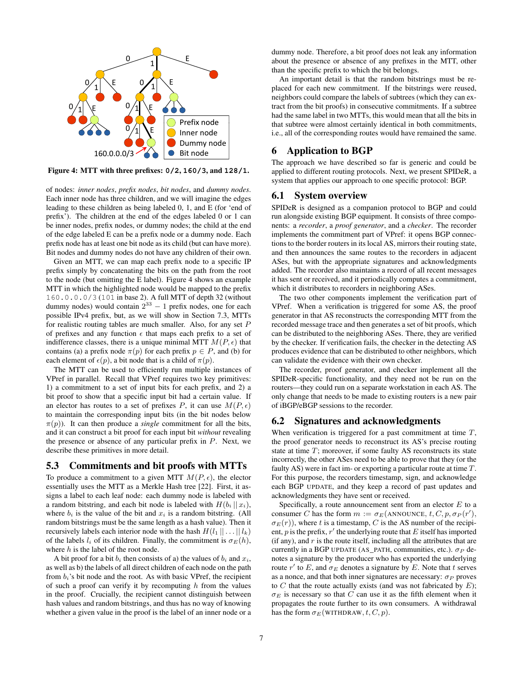

<span id="page-6-2"></span>Figure 4: MTT with three prefixes: **0/2**, **160/3**, and **128/1**.

of nodes: *inner nodes*, *prefix nodes*, *bit nodes*, and *dummy nodes*. Each inner node has three children, and we will imagine the edges leading to these children as being labeled 0, 1, and E (for 'end of prefix'). The children at the end of the edges labeled 0 or 1 can be inner nodes, prefix nodes, or dummy nodes; the child at the end of the edge labeled E can be a prefix node or a dummy node. Each prefix node has at least one bit node as its child (but can have more). Bit nodes and dummy nodes do not have any children of their own.

Given an MTT, we can map each prefix node to a specific IP prefix simply by concatenating the bits on the path from the root to the node (but omitting the E label). Figure [4](#page-6-2) shows an example MTT in which the highlighted node would be mapped to the prefix 160.0.0.0/3 (101 in base 2). A full MTT of depth 32 (without dummy nodes) would contain  $2^{33} - 1$  prefix nodes, one for each possible IPv4 prefix, but, as we will show in Section [7.3,](#page-9-0) MTTs for realistic routing tables are much smaller. Also, for any set P of prefixes and any function  $\epsilon$  that maps each prefix to a set of indifference classes, there is a unique minimal MTT  $M(P, \epsilon)$  that contains (a) a prefix node  $\pi(p)$  for each prefix  $p \in P$ , and (b) for each element of  $\epsilon(p)$ , a bit node that is a child of  $\pi(p)$ .

The MTT can be used to efficiently run multiple instances of VPref in parallel. Recall that VPref requires two key primitives: 1) a commitment to a set of input bits for each prefix, and 2) a bit proof to show that a specific input bit had a certain value. If an elector has routes to a set of prefixes P, it can use  $M(P, \epsilon)$ to maintain the corresponding input bits (in the bit nodes below  $\pi(p)$ ). It can then produce a *single* commitment for all the bits, and it can construct a bit proof for each input bit *without* revealing the presence or absence of any particular prefix in  $P$ . Next, we describe these primitives in more detail.

# <span id="page-6-1"></span>5.3 Commitments and bit proofs with MTTs

To produce a commitment to a given MTT  $M(P, \epsilon)$ , the elector essentially uses the MTT as a Merkle Hash tree [\[22\]](#page-11-30). First, it assigns a label to each leaf node: each dummy node is labeled with a random bitstring, and each bit node is labeled with  $H(b_i || x_i)$ , where  $b_i$  is the value of the bit and  $x_i$  is a random bitstring. (All random bitstrings must be the same length as a hash value). Then it recursively labels each interior node with the hash  $H(l_1 || \dots || l_k)$ of the labels  $l_i$  of its children. Finally, the commitment is  $\sigma_E(h)$ , where  $h$  is the label of the root node.

A bit proof for a bit  $b_i$  then consists of a) the values of  $b_i$  and  $x_i$ , as well as b) the labels of all direct children of each node on the path from  $b_i$ 's bit node and the root. As with basic VPref, the recipient of such a proof can verify it by recomputing  $h$  from the values in the proof. Crucially, the recipient cannot distinguish between hash values and random bitstrings, and thus has no way of knowing whether a given value in the proof is the label of an inner node or a dummy node. Therefore, a bit proof does not leak any information about the presence or absence of any prefixes in the MTT, other than the specific prefix to which the bit belongs.

An important detail is that the random bitstrings must be replaced for each new commitment. If the bitstrings were reused, neighbors could compare the labels of subtrees (which they can extract from the bit proofs) in consecutive commitments. If a subtree had the same label in two MTTs, this would mean that all the bits in that subtree were almost certainly identical in both commitments, i.e., all of the corresponding routes would have remained the same.

# <span id="page-6-0"></span>6 Application to BGP

The approach we have described so far is generic and could be applied to different routing protocols. Next, we present SPIDeR, a system that applies our approach to one specific protocol: BGP.

#### 6.1 System overview

SPIDeR is designed as a companion protocol to BGP and could run alongside existing BGP equipment. It consists of three components: a *recorder*, a *proof generator*, and a *checker*. The recorder implements the commitment part of VPref: it opens BGP connections to the border routers in its local AS, mirrors their routing state, and then announces the same routes to the recorders in adjacent ASes, but with the appropriate signatures and acknowledgments added. The recorder also maintains a record of all recent messages it has sent or received, and it periodically computes a commitment, which it distributes to recorders in neighboring ASes.

The two other components implement the verification part of VPref. When a verification is triggered for some AS, the proof generator in that AS reconstructs the corresponding MTT from the recorded message trace and then generates a set of bit proofs, which can be distributed to the neighboring ASes. There, they are verified by the checker. If verification fails, the checker in the detecting AS produces evidence that can be distributed to other neighbors, which can validate the evidence with their own checker.

The recorder, proof generator, and checker implement all the SPIDeR-specific functionality, and they need not be run on the routers—they could run on a separate workstation in each AS. The only change that needs to be made to existing routers is a new pair of iBGP/eBGP sessions to the recorder.

# 6.2 Signatures and acknowledgments

When verification is triggered for a past commitment at time  $T$ , the proof generator needs to reconstruct its AS's precise routing state at time  $T$ ; moreover, if some faulty AS reconstructs its state incorrectly, the other ASes need to be able to prove that they (or the faulty AS) were in fact im- or exporting a particular route at time T. For this purpose, the recorders timestamp, sign, and acknowledge each BGP UPDATE, and they keep a record of past updates and acknowledgments they have sent or received.

Specifically, a route announcement sent from an elector  $E$  to a consumer C has the form  $m := \sigma_E(\text{ANNOUNCE}, t, C, p, \sigma_P(r'))$ ,  $\sigma_E(r)$ , where t is a timestamp, C is the AS number of the recipient,  $p$  is the prefix,  $r'$  the underlying route that  $E$  itself has imported (if any), and  $r$  is the route itself, including all the attributes that are currently in a BGP UPDATE (AS\_PATH, communities, etc.).  $\sigma_P$  denotes a signature by the producer who has exported the underlying route r' to E, and  $\sigma_E$  denotes a signature by E. Note that t serves as a nonce, and that both inner signatures are necessary:  $\sigma_P$  proves to  $C$  that the route actually exists (and was not fabricated by  $E$ );  $\sigma_E$  is necessary so that C can use it as the fifth element when it propagates the route further to its own consumers. A withdrawal has the form  $\sigma_E(\text{WITHDRAW}, t, C, p)$ .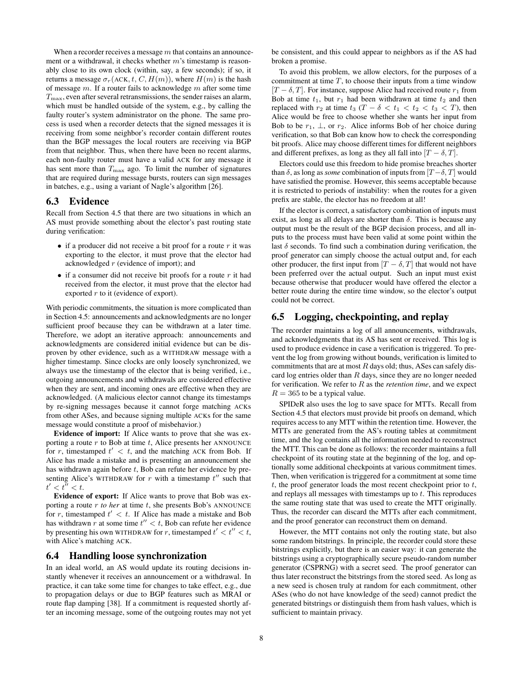When a recorder receives a message  $m$  that contains an announcement or a withdrawal, it checks whether  $m$ 's timestamp is reasonably close to its own clock (within, say, a few seconds); if so, it returns a message  $\sigma_r(\text{ACK}, t, C, H(m))$ , where  $H(m)$  is the hash of message  $m$ . If a router fails to acknowledge  $m$  after some time  $T_{\text{max}}$ , even after several retransmissions, the sender raises an alarm, which must be handled outside of the system, e.g., by calling the faulty router's system administrator on the phone. The same process is used when a recorder detects that the signed messages it is receiving from some neighbor's recorder contain different routes than the BGP messages the local routers are receiving via BGP from that neighbor. Thus, when there have been no recent alarms, each non-faulty router must have a valid ACK for any message it has sent more than  $T_{\text{max}}$  ago. To limit the number of signatures that are required during message bursts, routers can sign messages in batches, e.g., using a variant of Nagle's algorithm [\[26\]](#page-11-31).

# 6.3 Evidence

Recall from Section [4.5](#page-4-1) that there are two situations in which an AS must provide something about the elector's past routing state during verification:

- if a producer did not receive a bit proof for a route  $r$  it was exporting to the elector, it must prove that the elector had acknowledged r (evidence of import); and
- if a consumer did not receive bit proofs for a route  $r$  it had received from the elector, it must prove that the elector had exported  $r$  to it (evidence of export).

With periodic commitments, the situation is more complicated than in Section [4.5:](#page-4-1) announcements and acknowledgments are no longer sufficient proof because they can be withdrawn at a later time. Therefore, we adopt an iterative approach: announcements and acknowledgments are considered initial evidence but can be disproven by other evidence, such as a WITHDRAW message with a higher timestamp. Since clocks are only loosely synchronized, we always use the timestamp of the elector that is being verified, i.e., outgoing announcements and withdrawals are considered effective when they are sent, and incoming ones are effective when they are acknowledged. (A malicious elector cannot change its timestamps by re-signing messages because it cannot forge matching ACKs from other ASes, and because signing multiple ACKs for the same message would constitute a proof of misbehavior.)

Evidence of import: If Alice wants to prove that she was exporting a route  $r$  to Bob at time  $t$ , Alice presents her ANNOUNCE for r, timestamped  $t' < t$ , and the matching ACK from Bob. If Alice has made a mistake and is presenting an announcement she has withdrawn again before  $t$ , Bob can refute her evidence by presenting Alice's WITHDRAW for  $r$  with a timestamp  $t''$  such that  $t' < t'' < t.$ 

Evidence of export: If Alice wants to prove that Bob was exporting a route r to her at time t, she presents Bob's ANNOUNCE for r, timestamped  $t' < t$ . If Alice has made a mistake and Bob has withdrawn r at some time  $t'' < t$ , Bob can refute her evidence by presenting his own WITHDRAW for r, timestamped  $t' < t'' < t$ , with Alice's matching ACK.

#### 6.4 Handling loose synchronization

In an ideal world, an AS would update its routing decisions instantly whenever it receives an announcement or a withdrawal. In practice, it can take some time for changes to take effect, e.g., due to propagation delays or due to BGP features such as MRAI or route flap damping [\[38\]](#page-11-32). If a commitment is requested shortly after an incoming message, some of the outgoing routes may not yet be consistent, and this could appear to neighbors as if the AS had broken a promise.

To avoid this problem, we allow electors, for the purposes of a commitment at time  $T$ , to choose their inputs from a time window  $[T - \delta, T]$ . For instance, suppose Alice had received route  $r_1$  from Bob at time  $t_1$ , but  $r_1$  had been withdrawn at time  $t_2$  and then replaced with  $r_2$  at time  $t_3$  (T –  $\delta < t_1 < t_2 < t_3 < T$ ), then Alice would be free to choose whether she wants her input from Bob to be  $r_1$ ,  $\perp$ , or  $r_2$ . Alice informs Bob of her choice during verification, so that Bob can know how to check the corresponding bit proofs. Alice may choose different times for different neighbors and different prefixes, as long as they all fall into  $[T - \delta, T]$ .

Electors could use this freedom to hide promise breaches shorter than  $\delta$ , as long as *some* combination of inputs from  $[T-\delta, T]$  would have satisfied the promise. However, this seems acceptable because it is restricted to periods of instability: when the routes for a given prefix are stable, the elector has no freedom at all!

If the elector is correct, a satisfactory combination of inputs must exist, as long as all delays are shorter than  $\delta$ . This is because any output must be the result of the BGP decision process, and all inputs to the process must have been valid at some point within the last  $\delta$  seconds. To find such a combination during verification, the proof generator can simply choose the actual output and, for each other producer, the first input from  $[T - \delta, T]$  that would not have been preferred over the actual output. Such an input must exist because otherwise that producer would have offered the elector a better route during the entire time window, so the elector's output could not be correct.

# 6.5 Logging, checkpointing, and replay

The recorder maintains a log of all announcements, withdrawals, and acknowledgments that its AS has sent or received. This log is used to produce evidence in case a verification is triggered. To prevent the log from growing without bounds, verification is limited to commitments that are at most  $R$  days old; thus, ASes can safely discard log entries older than  $R$  days, since they are no longer needed for verification. We refer to R as the *retention time*, and we expect  $R = 365$  to be a typical value.

SPIDeR also uses the log to save space for MTTs. Recall from Section [4.5](#page-4-1) that electors must provide bit proofs on demand, which requires access to any MTT within the retention time. However, the MTTs are generated from the AS's routing tables at commitment time, and the log contains all the information needed to reconstruct the MTT. This can be done as follows: the recorder maintains a full checkpoint of its routing state at the beginning of the log, and optionally some additional checkpoints at various commitment times. Then, when verification is triggered for a commitment at some time  $t$ , the proof generator loads the most recent checkpoint prior to  $t$ , and replays all messages with timestamps up to  $t$ . This reproduces the same routing state that was used to create the MTT originally. Thus, the recorder can discard the MTTs after each commitment, and the proof generator can reconstruct them on demand.

However, the MTT contains not only the routing state, but also some random bitstrings. In principle, the recorder could store these bitstrings explicitly, but there is an easier way: it can generate the bitstrings using a cryptographically secure pseudo-random number generator (CSPRNG) with a secret seed. The proof generator can thus later reconstruct the bitstrings from the stored seed. As long as a new seed is chosen truly at random for each commitment, other ASes (who do not have knowledge of the seed) cannot predict the generated bitstrings or distinguish them from hash values, which is sufficient to maintain privacy.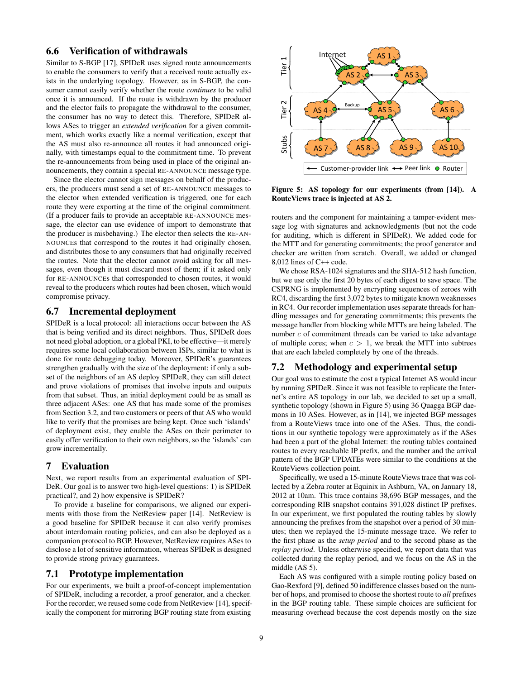# 6.6 Verification of withdrawals

Similar to S-BGP [\[17\]](#page-11-12), SPIDeR uses signed route announcements to enable the consumers to verify that a received route actually exists in the underlying topology. However, as in S-BGP, the consumer cannot easily verify whether the route *continues* to be valid once it is announced. If the route is withdrawn by the producer and the elector fails to propagate the withdrawal to the consumer, the consumer has no way to detect this. Therefore, SPIDeR allows ASes to trigger an *extended verification* for a given commitment, which works exactly like a normal verification, except that the AS must also re-announce all routes it had announced originally, with timestamps equal to the commitment time. To prevent the re-announcements from being used in place of the original announcements, they contain a special RE-ANNOUNCE message type.

Since the elector cannot sign messages on behalf of the producers, the producers must send a set of RE-ANNOUNCE messages to the elector when extended verification is triggered, one for each route they were exporting at the time of the original commitment. (If a producer fails to provide an acceptable RE-ANNOUNCE message, the elector can use evidence of import to demonstrate that the producer is misbehaving.) The elector then selects the RE-AN-NOUNCEs that correspond to the routes it had originally chosen, and distributes those to any consumers that had originally received the routes. Note that the elector cannot avoid asking for all messages, even though it must discard most of them; if it asked only for RE-ANNOUNCEs that corresponded to chosen routes, it would reveal to the producers which routes had been chosen, which would compromise privacy.

# 6.7 Incremental deployment

SPIDeR is a local protocol: all interactions occur between the AS that is being verified and its direct neighbors. Thus, SPIDeR does not need global adoption, or a global PKI, to be effective—it merely requires some local collaboration between ISPs, similar to what is done for route debugging today. Moreover, SPIDeR's guarantees strengthen gradually with the size of the deployment: if only a subset of the neighbors of an AS deploy SPIDeR, they can still detect and prove violations of promises that involve inputs and outputs from that subset. Thus, an initial deployment could be as small as three adjacent ASes: one AS that has made some of the promises from Section [3.2,](#page-2-3) and two customers or peers of that AS who would like to verify that the promises are being kept. Once such 'islands' of deployment exist, they enable the ASes on their perimeter to easily offer verification to their own neighbors, so the 'islands' can grow incrementally.

# <span id="page-8-0"></span>7 Evaluation

Next, we report results from an experimental evaluation of SPI-DeR. Our goal is to answer two high-level questions: 1) is SPIDeR practical?, and 2) how expensive is SPIDeR?

To provide a baseline for comparisons, we aligned our experiments with those from the NetReview paper [\[14\]](#page-11-13). NetReview is a good baseline for SPIDeR because it can also verify promises about interdomain routing policies, and can also be deployed as a companion protocol to BGP. However, NetReview requires ASes to disclose a lot of sensitive information, whereas SPIDeR is designed to provide strong privacy guarantees.

# 7.1 Prototype implementation

For our experiments, we built a proof-of-concept implementation of SPIDeR, including a recorder, a proof generator, and a checker. For the recorder, we reused some code from NetReview [\[14\]](#page-11-13), specifically the component for mirroring BGP routing state from existing



<span id="page-8-1"></span>Figure 5: AS topology for our experiments (from [\[14\]](#page-11-13)). A RouteViews trace is injected at AS 2.

routers and the component for maintaining a tamper-evident message log with signatures and acknowledgments (but not the code for auditing, which is different in SPIDeR). We added code for the MTT and for generating commitments; the proof generator and checker are written from scratch. Overall, we added or changed 8,012 lines of C++ code.

We chose RSA-1024 signatures and the SHA-512 hash function, but we use only the first 20 bytes of each digest to save space. The CSPRNG is implemented by encrypting sequences of zeroes with RC4, discarding the first 3,072 bytes to mitigate known weaknesses in RC4. Our recorder implementation uses separate threads for handling messages and for generating commitments; this prevents the message handler from blocking while MTTs are being labeled. The number  $c$  of commitment threads can be varied to take advantage of multiple cores; when  $c > 1$ , we break the MTT into subtrees that are each labeled completely by one of the threads.

# 7.2 Methodology and experimental setup

Our goal was to estimate the cost a typical Internet AS would incur by running SPIDeR. Since it was not feasible to replicate the Internet's entire AS topology in our lab, we decided to set up a small, synthetic topology (shown in Figure [5\)](#page-8-1) using 36 Quagga BGP daemons in 10 ASes. However, as in [\[14\]](#page-11-13), we injected BGP messages from a RouteViews trace into one of the ASes. Thus, the conditions in our synthetic topology were approximately as if the ASes had been a part of the global Internet: the routing tables contained routes to every reachable IP prefix, and the number and the arrival pattern of the BGP UPDATEs were similar to the conditions at the RouteViews collection point.

Specifically, we used a 15-minute RouteViews trace that was collected by a Zebra router at Equinix in Ashburn, VA, on January 18, 2012 at 10am. This trace contains 38,696 BGP messages, and the corresponding RIB snapshot contains 391,028 distinct IP prefixes. In our experiment, we first populated the routing tables by slowly announcing the prefixes from the snapshot over a period of 30 minutes; then we replayed the 15-minute message trace. We refer to the first phase as the *setup period* and to the second phase as the *replay period*. Unless otherwise specified, we report data that was collected during the replay period, and we focus on the AS in the middle (AS 5).

Each AS was configured with a simple routing policy based on Gao-Rexford [\[9\]](#page-11-28), defined 50 indifference classes based on the number of hops, and promised to choose the shortest route to *all* prefixes in the BGP routing table. These simple choices are sufficient for measuring overhead because the cost depends mostly on the size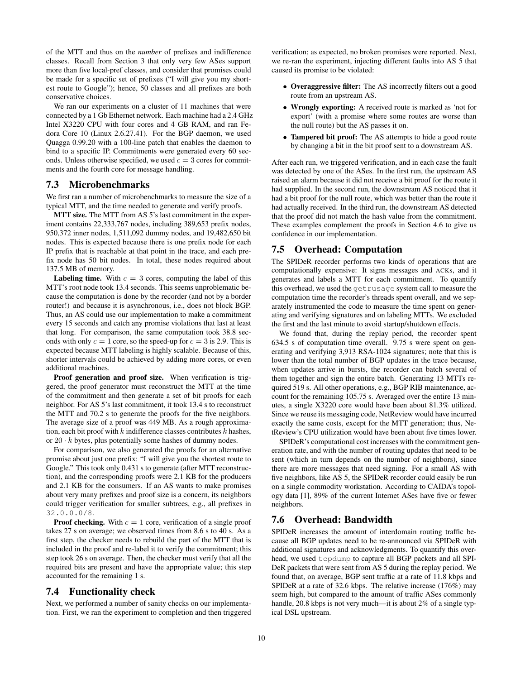of the MTT and thus on the *number* of prefixes and indifference classes. Recall from Section [3](#page-2-0) that only very few ASes support more than five local-pref classes, and consider that promises could be made for a specific set of prefixes ("I will give you my shortest route to Google"); hence, 50 classes and all prefixes are both conservative choices.

We ran our experiments on a cluster of 11 machines that were connected by a 1 Gb Ethernet network. Each machine had a 2.4 GHz Intel X3220 CPU with four cores and 4 GB RAM, and ran Fedora Core 10 (Linux 2.6.27.41). For the BGP daemon, we used Quagga 0.99.20 with a 100-line patch that enables the daemon to bind to a specific IP. Commitments were generated every 60 seconds. Unless otherwise specified, we used  $c = 3$  cores for commitments and the fourth core for message handling.

#### <span id="page-9-0"></span>7.3 Microbenchmarks

We first ran a number of microbenchmarks to measure the size of a typical MTT, and the time needed to generate and verify proofs.

MTT size. The MTT from AS 5's last commitment in the experiment contains 22,333,767 nodes, including 389,653 prefix nodes, 950,372 inner nodes, 1,511,092 dummy nodes, and 19,482,650 bit nodes. This is expected because there is one prefix node for each IP prefix that is reachable at that point in the trace, and each prefix node has 50 bit nodes. In total, these nodes required about 137.5 MB of memory.

**Labeling time.** With  $c = 3$  cores, computing the label of this MTT's root node took 13.4 seconds. This seems unproblematic because the computation is done by the recorder (and not by a border router!) and because it is asynchronous, i.e., does not block BGP. Thus, an AS could use our implementation to make a commitment every 15 seconds and catch any promise violations that last at least that long. For comparison, the same computation took 38.8 seconds with only  $c = 1$  core, so the speed-up for  $c = 3$  is 2.9. This is expected because MTT labeling is highly scalable. Because of this, shorter intervals could be achieved by adding more cores, or even additional machines.

Proof generation and proof size. When verification is triggered, the proof generator must reconstruct the MTT at the time of the commitment and then generate a set of bit proofs for each neighbor. For AS 5's last commitment, it took 13.4 s to reconstruct the MTT and 70.2 s to generate the proofs for the five neighbors. The average size of a proof was 449 MB. As a rough approximation, each bit proof with  $k$  indifference classes contributes  $k$  hashes, or  $20 \cdot k$  bytes, plus potentially some hashes of dummy nodes.

For comparison, we also generated the proofs for an alternative promise about just one prefix: "I will give you the shortest route to Google." This took only 0.431 s to generate (after MTT reconstruction), and the corresponding proofs were 2.1 KB for the producers and 2.1 KB for the consumers. If an AS wants to make promises about very many prefixes and proof size is a concern, its neighbors could trigger verification for smaller subtrees, e.g., all prefixes in 32.0.0.0/8.

**Proof checking.** With  $c = 1$  core, verification of a single proof takes 27 s on average; we observed times from 8.6 s to 40 s. As a first step, the checker needs to rebuild the part of the MTT that is included in the proof and re-label it to verify the commitment; this step took 26 s on average. Then, the checker must verify that all the required bits are present and have the appropriate value; this step accounted for the remaining 1 s.

## 7.4 Functionality check

Next, we performed a number of sanity checks on our implementation. First, we ran the experiment to completion and then triggered verification; as expected, no broken promises were reported. Next, we re-ran the experiment, injecting different faults into AS 5 that caused its promise to be violated:

- Overaggressive filter: The AS incorrectly filters out a good route from an upstream AS.
- Wrongly exporting: A received route is marked as 'not for export' (with a promise where some routes are worse than the null route) but the AS passes it on.
- Tampered bit proof: The AS attempts to hide a good route by changing a bit in the bit proof sent to a downstream AS.

After each run, we triggered verification, and in each case the fault was detected by one of the ASes. In the first run, the upstream AS raised an alarm because it did not receive a bit proof for the route it had supplied. In the second run, the downstream AS noticed that it had a bit proof for the null route, which was better than the route it had actually received. In the third run, the downstream AS detected that the proof did not match the hash value from the commitment. These examples complement the proofs in Section [4.6](#page-4-0) to give us confidence in our implementation.

# 7.5 Overhead: Computation

The SPIDeR recorder performs two kinds of operations that are computationally expensive: It signs messages and ACKs, and it generates and labels a MTT for each commitment. To quantify this overhead, we used the getrusage system call to measure the computation time the recorder's threads spent overall, and we separately instrumented the code to measure the time spent on generating and verifying signatures and on labeling MTTs. We excluded the first and the last minute to avoid startup/shutdown effects.

We found that, during the replay period, the recorder spent 634.5 s of computation time overall. 9.75 s were spent on generating and verifying 3,913 RSA-1024 signatures; note that this is lower than the total number of BGP updates in the trace because, when updates arrive in bursts, the recorder can batch several of them together and sign the entire batch. Generating 13 MTTs required 519 s. All other operations, e.g., BGP RIB maintenance, account for the remaining 105.75 s. Averaged over the entire 13 minutes, a single X3220 core would have been about 81.3% utilized. Since we reuse its messaging code, NetReview would have incurred exactly the same costs, except for the MTT generation; thus, NetReview's CPU utilization would have been about five times lower.

SPIDeR's computational cost increases with the commitment generation rate, and with the number of routing updates that need to be sent (which in turn depends on the number of neighbors), since there are more messages that need signing. For a small AS with five neighbors, like AS 5, the SPIDeR recorder could easily be run on a single commodity workstation. According to CAIDA's topology data [\[1\]](#page-11-33), 89% of the current Internet ASes have five or fewer neighbors.

#### 7.6 Overhead: Bandwidth

SPIDeR increases the amount of interdomain routing traffic because all BGP updates need to be re-announced via SPIDeR with additional signatures and acknowledgments. To quantify this overhead, we used tcpdump to capture all BGP packets and all SPI-DeR packets that were sent from AS 5 during the replay period. We found that, on average, BGP sent traffic at a rate of 11.8 kbps and SPIDeR at a rate of 32.6 kbps. The relative increase (176%) may seem high, but compared to the amount of traffic ASes commonly handle, 20.8 kbps is not very much—it is about 2% of a single typical DSL upstream.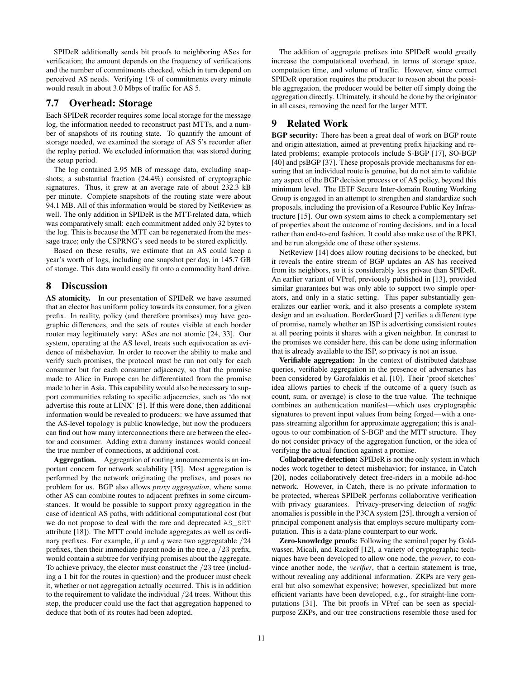SPIDeR additionally sends bit proofs to neighboring ASes for verification; the amount depends on the frequency of verifications and the number of commitments checked, which in turn depend on perceived AS needs. Verifying 1% of commitments every minute would result in about 3.0 Mbps of traffic for AS 5.

# 7.7 Overhead: Storage

Each SPIDeR recorder requires some local storage for the message log, the information needed to reconstruct past MTTs, and a number of snapshots of its routing state. To quantify the amount of storage needed, we examined the storage of AS 5's recorder after the replay period. We excluded information that was stored during the setup period.

The log contained 2.95 MB of message data, excluding snapshots; a substantial fraction (24.4%) consisted of cryptographic signatures. Thus, it grew at an average rate of about 232.3 kB per minute. Complete snapshots of the routing state were about 94.1 MB. All of this information would be stored by NetReview as well. The only addition in SPIDeR is the MTT-related data, which was comparatively small: each commitment added only 32 bytes to the log. This is because the MTT can be regenerated from the message trace; only the CSPRNG's seed needs to be stored explicitly.

Based on these results, we estimate that an AS could keep a year's worth of logs, including one snapshot per day, in 145.7 GB of storage. This data would easily fit onto a commodity hard drive.

# <span id="page-10-0"></span>8 Discussion

AS atomicity. In our presentation of SPIDeR we have assumed that an elector has uniform policy towards its consumer, for a given prefix. In reality, policy (and therefore promises) may have geographic differences, and the sets of routes visible at each border router may legitimately vary: ASes are not atomic [\[24,](#page-11-21) [33\]](#page-11-1). Our system, operating at the AS level, treats such equivocation as evidence of misbehavior. In order to recover the ability to make and verify such promises, the protocol must be run not only for each consumer but for each consumer adjacency, so that the promise made to Alice in Europe can be differentiated from the promise made to her in Asia. This capability would also be necessary to support communities relating to specific adjacencies, such as 'do not advertise this route at LINX' [\[5\]](#page-11-26). If this were done, then additional information would be revealed to producers: we have assumed that the AS-level topology is public knowledge, but now the producers can find out how many interconnections there are between the elector and consumer. Adding extra dummy instances would conceal the true number of connections, at additional cost.

Aggregation. Aggregation of routing announcements is an important concern for network scalability [\[35\]](#page-11-24). Most aggregation is performed by the network originating the prefixes, and poses no problem for us. BGP also allows *proxy aggregation*, where some other AS can combine routes to adjacent prefixes in some circumstances. It would be possible to support proxy aggregation in the case of identical AS paths, with additional computational cost (but we do not propose to deal with the rare and deprecated AS\_SET attribute [\[18\]](#page-11-34)). The MTT could include aggregates as well as ordinary prefixes. For example, if  $p$  and  $q$  were two aggregatable  $/24$ prefixes, then their immediate parent node in the tree, a /23 prefix, would contain a subtree for verifying promises about the aggregate. To achieve privacy, the elector must construct the /23 tree (including a 1 bit for the routes in question) and the producer must check it, whether or not aggregation actually occurred. This is in addition to the requirement to validate the individual /24 trees. Without this step, the producer could use the fact that aggregation happened to deduce that both of its routes had been adopted.

The addition of aggregate prefixes into SPIDeR would greatly increase the computational overhead, in terms of storage space, computation time, and volume of traffic. However, since correct SPIDeR operation requires the producer to reason about the possible aggregation, the producer would be better off simply doing the aggregation directly. Ultimately, it should be done by the originator in all cases, removing the need for the larger MTT.

# 9 Related Work

BGP security: There has been a great deal of work on BGP route and origin attestation, aimed at preventing prefix hijacking and related problems; example protocols include S-BGP [\[17\]](#page-11-12), SO-BGP [\[40\]](#page-11-35) and psBGP [\[37\]](#page-11-36). These proposals provide mechanisms for ensuring that an individual route is genuine, but do not aim to validate any aspect of the BGP decision process or of AS policy, beyond this minimum level. The IETF Secure Inter-domain Routing Working Group is engaged in an attempt to strengthen and standardize such proposals, including the provision of a Resource Public Key Infrastructure [\[15\]](#page-11-29). Our own system aims to check a complementary set of properties about the outcome of routing decisions, and in a local rather than end-to-end fashion. It could also make use of the RPKI, and be run alongside one of these other systems.

NetReview [\[14\]](#page-11-13) does allow routing decisions to be checked, but it reveals the entire stream of BGP updates an AS has received from its neighbors, so it is considerably less private than SPIDeR. An earlier variant of VPref, previously published in [\[13\]](#page-11-22), provided similar guarantees but was only able to support two simple operators, and only in a static setting. This paper substantially generalizes our earlier work, and it also presents a complete system design and an evaluation. BorderGuard [\[7\]](#page-11-25) verifies a different type of promise, namely whether an ISP is advertising consistent routes at all peering points it shares with a given neighbor. In contrast to the promises we consider here, this can be done using information that is already available to the ISP, so privacy is not an issue.

Verifiable aggregation: In the context of distributed database queries, verifiable aggregation in the presence of adversaries has been considered by Garofalakis et al. [\[10\]](#page-11-37). Their 'proof sketches' idea allows parties to check if the outcome of a query (such as count, sum, or average) is close to the true value. The technique combines an authentication manifest—which uses cryptographic signatures to prevent input values from being forged—with a onepass streaming algorithm for approximate aggregation; this is analogous to our combination of S-BGP and the MTT structure. They do not consider privacy of the aggregation function, or the idea of verifying the actual function against a promise.

Collaborative detection: SPIDeR is not the only system in which nodes work together to detect misbehavior; for instance, in Catch [\[20\]](#page-11-38), nodes collaboratively detect free-riders in a mobile ad-hoc network. However, in Catch, there is no private information to be protected, whereas SPIDeR performs collaborative verification with privacy guarantees. Privacy-preserving detection of *traffic* anomalies is possible in the P3CA system [\[25\]](#page-11-39), through a version of principal component analysis that employs secure multiparty computation. This is a data-plane counterpart to our work.

Zero-knowledge proofs: Following the seminal paper by Goldwasser, Micali, and Rackoff [\[12\]](#page-11-40), a variety of cryptographic techniques have been developed to allow one node, the *prover*, to convince another node, the *verifier*, that a certain statement is true, without revealing any additional information. ZKPs are very general but also somewhat expensive; however, specialized but more efficient variants have been developed, e.g., for straight-line computations [\[31\]](#page-11-41). The bit proofs in VPref can be seen as specialpurpose ZKPs, and our tree constructions resemble those used for